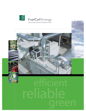

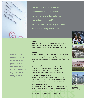

*Fuel cells do not*

*depend on wind* 

*or sunshine, and* 

*electricity per unit* 

*of fuel than almost*

*any other distributed*

*generate more* 

*energy source.*

FuelCell Energy® provides efficient, reliable power to the world's most demanding markets. Fuel cell power plants offer inherent fuel flexibility, 24/7 operation, and the ability to capture waste heat for many practical uses.



### **Medical**

Hospitals and other critical care facilities require reliable power around the clock. Fuel cells offer the only viable alternative to traditional dependence on utilities for baseload power and load management.

#### **Hospitality**

The success of a hotel depends largely on its ability to provide an attractive, clean, and quiet environment. Quiet and unobtrusive fuel cells can provide power to the facility with a heat byproduct that is useful for swimming pools, domestic hot water, and building heat.

#### **Manufacturing**

Manufacturing facilities take advantage of fuel cells for both baseload power and peak load management. Waste heat produced in the process is often used in the manufacturing process to augment or replace existing heating systems.

#### **Food and Beverage Processing**

Digester gases produced as a natural byproduct of food and beverage processing can be reformed into usable hydrogen to power a fuel cell, virtually eliminating digester gas emissions.

#### **Wastewater Treatment**

Many wastewater treatment plants use anaerobic digester gases. Fuel cells can take advantage of this gas more effectively than any other power source. This unique relationship between Direct FuelCells and anaerobic digesters results in the most efficient and environmentally friendly use of this energy source.







*Fuel cell power plants are well suited for many diverse applications.*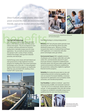*Direct FuelCells provide reliable, Ultra-Clean power around the clock, are environmentally friendly, and can be located almost anywhere.*





*FuelCell Energy provides comprehensive training and 24/7 service and support.*

The Fuel Cell Advantage<br>
The most important advantage of fuel cell power<br>
plants is their ability to provide Ultra-Clean power<br>
without interruption. They do not depend on wind<br>
electricity p The most important advantage of fuel cell power plants is their ability to provide Ultra-Clean power without interruption. They do not depend on wind or sunshine, and have extremely low emissions, making them a desirable energy source for many applications. You can build one almost anywhere and operate it with a variety of fuels, including methane from biogas, waste gas from industrial processes, and natural gas.

FuelCell Energy works closely with both federal and state governments to help implement incentive programs for installing Ultra-Clean power generation technologies such as fuel cells. In many geographic locations these incentive programs can significantly offset the costs associated with installing a Direct FuelCell® (DFC®) power plant.



Fuel cell technology is a strong energy partner:

**Efficiency:** DFC fuel cell power plants generate more electricity per unit of fuel than almost any other distributed energy source. Efficiency is further increased when used in a Combined Heat and Power (CHP) application, or in conjunction with other power technologies (solar, gas turbine).

**Environmental Impact:** With negligible emissions of pollutants such as nitrogen oxides (NOx) and sulfur oxides (SO<sub>x</sub>), and dramatically reduced CO<sub>2</sub> greenhouse gas emissions compared to traditional fossil fuel power plants, fuel cell power plants qualify under several environmental certifications established by the government, making them eligible for significant financial incentive programs.

**Reliability:** By locating the power plant on-site, and implementing real-time monitoring capability, endusers are assured of increased reliability, a necessary requirement for applications such as hospitals, hotels, universities, and manufacturing facilities.

**Fuel Flexibility:** In addition to biofuels – gases from food processing, landfills, and wastewater treatment – fuel cells can run on natural gas, ethanol, diesel, and coal gas. In many geographic areas, fuel cells running on biogas are considered a renewable energy source, qualifying them for even more financial incentives.





*Fuel cell power plants offer environmental, operational, and economic benefits.*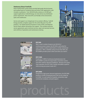#### **Stationary Direct FuelCells**

Direct FuelCell (DFC) power plants provide high grade electrical power and residual heat for Combined Heat and Power (CHP) applications, with virtually no pollutants. From 300 kW facility solutions to 50 MW grid support applications, FuelCell Energy can meet almost any distributed power requirement. Best of all, DFCs are friendly to the environment, quiet, and unobtrusive.

Service and support is an integral part of our product offering. FuelCell Energy provides complete support for the entire lifecycle of our DFC products. Our Global Technical Assistance Center (GTAC) and Regional Service Teams deliver full product line support. This includes long term service agreements, parts, technical services, repair and warranty services, and a full line of operations and maintenance training.





#### **DFC300**

With a small, modular footprint and 300 kW of continuous power output, the DFC300 is well suited for super markets, medium-sized hotels, or similar commercial operations. With a reliability rating of more than 96%, the DFC300MA provides power where and when you need it.



## **DFC1500**

Producing 1.4 MW of continuous baseload power, the DFC1500MA is perfect for large hotels, convention centers, and other medium-demand installations. Because of its quiet, clean operation, the DFC1500 is hardly noticeable to patrons while serving your power needs 24/7.



#### **DFC3000**

Designed for high power demand applications, the DFC3000 produces 2.8 MW of baseload power that can be scaled up to 50 MW. It is well suited for hospitals, universities, large commercial complexes, and grid support.

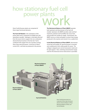# ork how stationary fuel cell power plants

Direct FuelCell power plants are comprised of three major functional elements:

**The Fuel Cell Module** is the centerpiece of the power plant and is comprised of multiple fuel cells operating in parallel. Hydrogen is internally reformed from the source fuel to support the non-combustion electrochemical reaction in the fuel cell. Fuel is combined with oxygen from air to produce energy. Ultra-Clean electrical power, in the form of direct current (DC), and heat are produced in the process.

**The Mechanical Balance of Plant (MBOP)** operates both upstream and downstream of the fuel cell module. Upstream, the MBOP provides water and fuel treatment, preheats and humidifies the source fuel, and provides the outside air supply. Downstream, the MBOP serves as a heat exchanger to extract heat energy produced in the reaction and convert it to a usable form.

**In the Electrical Balance of Plant (EBOP)**, downstream of the fuel cell module, DC electrical power is inverted and conditioned to form utility grade AC power. The voltage is stepped up to service local power needs and for grid support. Here, switching and protection equipment for the electrical service interconnect is provided.



*Fuel Cell Modules.*